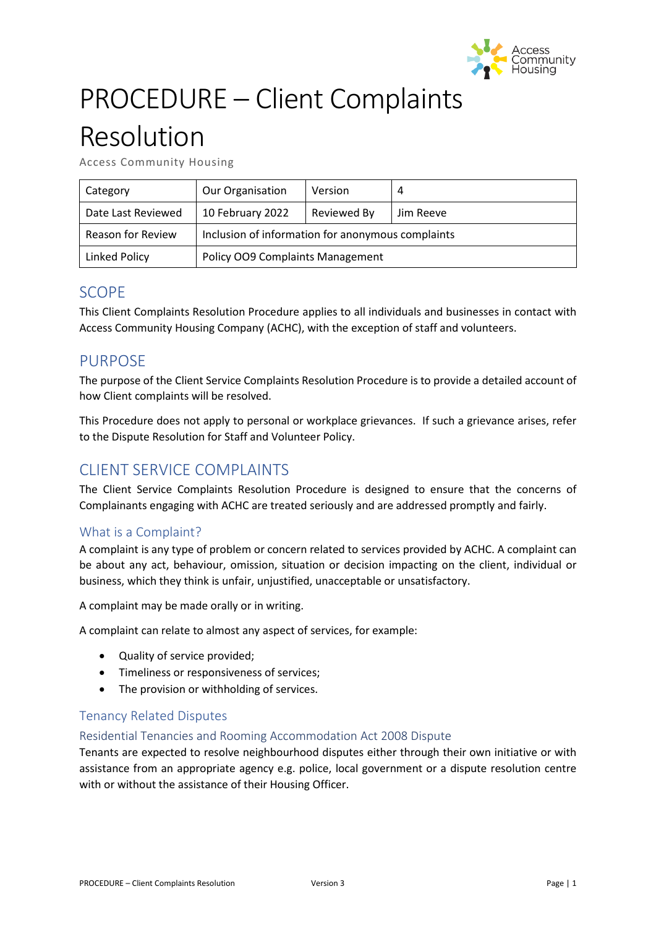

# PROCEDURE – Client Complaints

# Resolution

Access Community Housing

| Category                 | <b>Our Organisation</b>                           | Version     | 4         |
|--------------------------|---------------------------------------------------|-------------|-----------|
| Date Last Reviewed       | 10 February 2022                                  | Reviewed By | Jim Reeve |
| <b>Reason for Review</b> | Inclusion of information for anonymous complaints |             |           |
| Linked Policy            | Policy OO9 Complaints Management                  |             |           |

# SCOPE

This Client Complaints Resolution Procedure applies to all individuals and businesses in contact with Access Community Housing Company (ACHC), with the exception of staff and volunteers.

# PURPOSE

The purpose of the Client Service Complaints Resolution Procedure is to provide a detailed account of how Client complaints will be resolved.

This Procedure does not apply to personal or workplace grievances. If such a grievance arises, refer to the Dispute Resolution for Staff and Volunteer Policy.

# CLIENT SERVICE COMPLAINTS

The Client Service Complaints Resolution Procedure is designed to ensure that the concerns of Complainants engaging with ACHC are treated seriously and are addressed promptly and fairly.

# What is a Complaint?

A complaint is any type of problem or concern related to services provided by ACHC. A complaint can be about any act, behaviour, omission, situation or decision impacting on the client, individual or business, which they think is unfair, unjustified, unacceptable or unsatisfactory.

A complaint may be made orally or in writing.

A complaint can relate to almost any aspect of services, for example:

- Quality of service provided;
- Timeliness or responsiveness of services;
- The provision or withholding of services.

## Tenancy Related Disputes

### Residential Tenancies and Rooming Accommodation Act 2008 Dispute

Tenants are expected to resolve neighbourhood disputes either through their own initiative or with assistance from an appropriate agency e.g. police, local government or a dispute resolution centre with or without the assistance of their Housing Officer.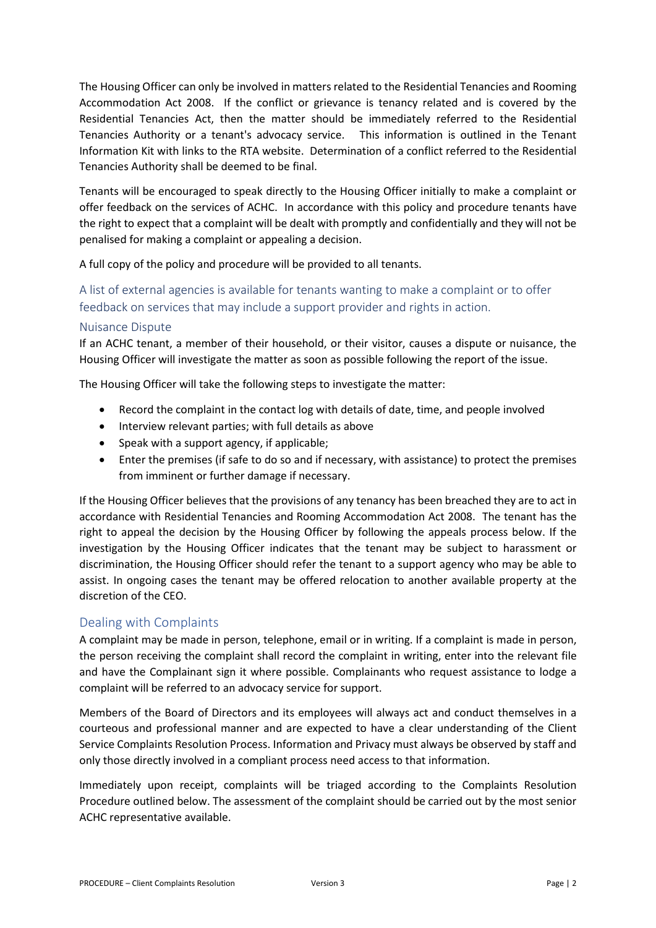The Housing Officer can only be involved in matters related to the Residential Tenancies and Rooming Accommodation Act 2008. If the conflict or grievance is tenancy related and is covered by the Residential Tenancies Act, then the matter should be immediately referred to the Residential Tenancies Authority or a tenant's advocacy service. This information is outlined in the Tenant Information Kit with links to the RTA website. Determination of a conflict referred to the Residential Tenancies Authority shall be deemed to be final.

Tenants will be encouraged to speak directly to the Housing Officer initially to make a complaint or offer feedback on the services of ACHC. In accordance with this policy and procedure tenants have the right to expect that a complaint will be dealt with promptly and confidentially and they will not be penalised for making a complaint or appealing a decision.

A full copy of the policy and procedure will be provided to all tenants.

# A list of external agencies is available for tenants wanting to make a complaint or to offer feedback on services that may include a support provider and rights in action.

## Nuisance Dispute

If an ACHC tenant, a member of their household, or their visitor, causes a dispute or nuisance, the Housing Officer will investigate the matter as soon as possible following the report of the issue.

The Housing Officer will take the following steps to investigate the matter:

- Record the complaint in the contact log with details of date, time, and people involved
- Interview relevant parties; with full details as above
- Speak with a support agency, if applicable;
- Enter the premises (if safe to do so and if necessary, with assistance) to protect the premises from imminent or further damage if necessary.

If the Housing Officer believes that the provisions of any tenancy has been breached they are to act in accordance with Residential Tenancies and Rooming Accommodation Act 2008. The tenant has the right to appeal the decision by the Housing Officer by following the appeals process below. If the investigation by the Housing Officer indicates that the tenant may be subject to harassment or discrimination, the Housing Officer should refer the tenant to a support agency who may be able to assist. In ongoing cases the tenant may be offered relocation to another available property at the discretion of the CEO.

## Dealing with Complaints

A complaint may be made in person, telephone, email or in writing. If a complaint is made in person, the person receiving the complaint shall record the complaint in writing, enter into the relevant file and have the Complainant sign it where possible. Complainants who request assistance to lodge a complaint will be referred to an advocacy service for support.

Members of the Board of Directors and its employees will always act and conduct themselves in a courteous and professional manner and are expected to have a clear understanding of the Client Service Complaints Resolution Process. Information and Privacy must always be observed by staff and only those directly involved in a compliant process need access to that information.

Immediately upon receipt, complaints will be triaged according to the Complaints Resolution Procedure outlined below. The assessment of the complaint should be carried out by the most senior ACHC representative available.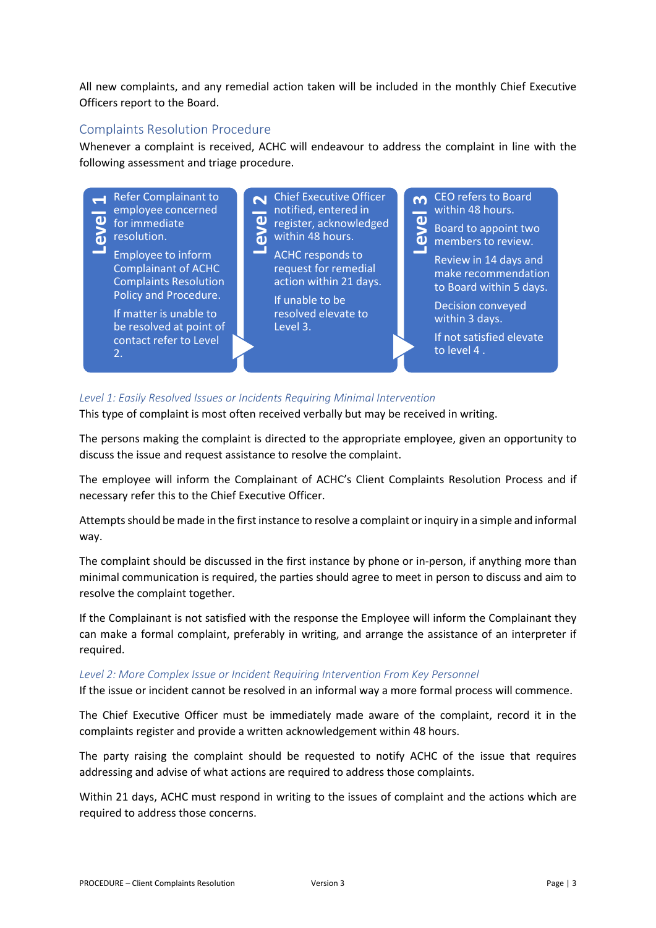All new complaints, and any remedial action taken will be included in the monthly Chief Executive Officers report to the Board.

## Complaints Resolution Procedure

Whenever a complaint is received, ACHC will endeavour to address the complaint in line with the following assessment and triage procedure.



## *Level 1: Easily Resolved Issues or Incidents Requiring Minimal Intervention*

This type of complaint is most often received verbally but may be received in writing.

The persons making the complaint is directed to the appropriate employee, given an opportunity to discuss the issue and request assistance to resolve the complaint.

The employee will inform the Complainant of ACHC's Client Complaints Resolution Process and if necessary refer this to the Chief Executive Officer.

Attempts should be made in the first instance to resolve a complaint or inquiry in a simple and informal way.

The complaint should be discussed in the first instance by phone or in-person, if anything more than minimal communication is required, the parties should agree to meet in person to discuss and aim to resolve the complaint together.

If the Complainant is not satisfied with the response the Employee will inform the Complainant they can make a formal complaint, preferably in writing, and arrange the assistance of an interpreter if required.

### *Level 2: More Complex Issue or Incident Requiring Intervention From Key Personnel*

If the issue or incident cannot be resolved in an informal way a more formal process will commence.

The Chief Executive Officer must be immediately made aware of the complaint, record it in the complaints register and provide a written acknowledgement within 48 hours.

The party raising the complaint should be requested to notify ACHC of the issue that requires addressing and advise of what actions are required to address those complaints.

Within 21 days, ACHC must respond in writing to the issues of complaint and the actions which are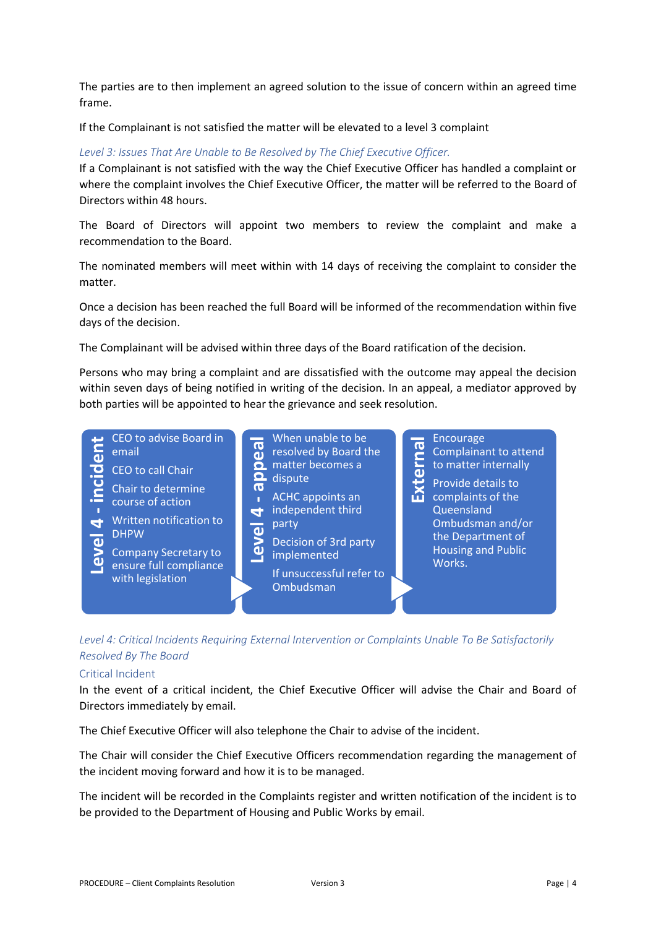The parties are to then implement an agreed solution to the issue of concern within an agreed time frame.

If the Complainant is not satisfied the matter will be elevated to a level 3 complaint

#### *Level 3: Issues That Are Unable to Be Resolved by The Chief Executive Officer.*

If a Complainant is not satisfied with the way the Chief Executive Officer has handled a complaint or where the complaint involves the Chief Executive Officer, the matter will be referred to the Board of Directors within 48 hours.

The Board of Directors will appoint two members to review the complaint and make a recommendation to the Board.

The nominated members will meet within with 14 days of receiving the complaint to consider the matter.

Once a decision has been reached the full Board will be informed of the recommendation within five days of the decision.

The Complainant will be advised within three days of the Board ratification of the decision.

Persons who may bring a complaint and are dissatisfied with the outcome may appeal the decision within seven days of being notified in writing of the decision. In an appeal, a mediator approved by both parties will be appointed to hear the grievance and seek resolution.



*Level 4: Critical Incidents Requiring External Intervention or Complaints Unable To Be Satisfactorily Resolved By The Board*

#### Critical Incident

In the event of a critical incident, the Chief Executive Officer will advise the Chair and Board of Directors immediately by email.

The Chief Executive Officer will also telephone the Chair to advise of the incident.

The Chair will consider the Chief Executive Officers recommendation regarding the management of the incident moving forward and how it is to be managed.

The incident will be recorded in the Complaints register and written notification of the incident is to